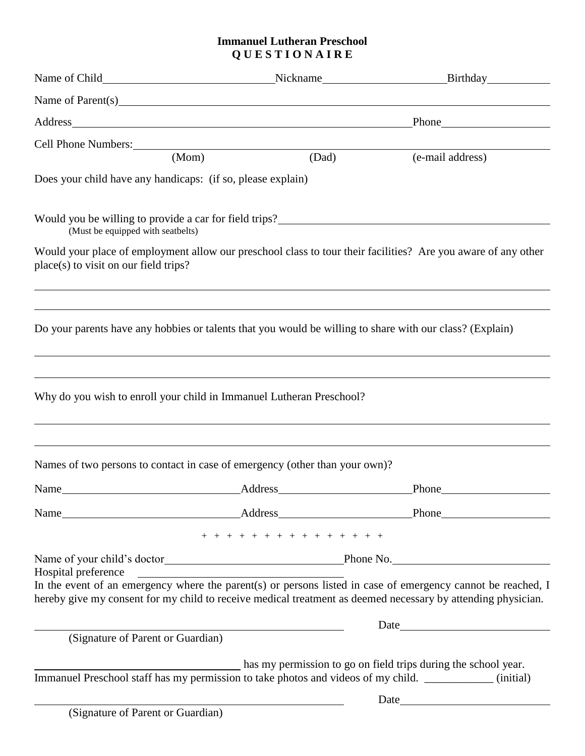## **Immanuel Lutheran Preschool Q U E S T I O N A I R E**

|                                                                                                                        |                                                                                                                     | Address and the contract of the contract of the contract of the contract of the contract of the contract of the contract of the contract of the contract of the contract of the contract of the contract of the contract of th<br>Phone |                                                                                                                                                                                                                              |  |
|------------------------------------------------------------------------------------------------------------------------|---------------------------------------------------------------------------------------------------------------------|-----------------------------------------------------------------------------------------------------------------------------------------------------------------------------------------------------------------------------------------|------------------------------------------------------------------------------------------------------------------------------------------------------------------------------------------------------------------------------|--|
| Cell Phone Numbers:                                                                                                    |                                                                                                                     |                                                                                                                                                                                                                                         |                                                                                                                                                                                                                              |  |
|                                                                                                                        | (Mom)                                                                                                               | (Dad)                                                                                                                                                                                                                                   | (e-mail address)                                                                                                                                                                                                             |  |
| Does your child have any handicaps: (if so, please explain)                                                            |                                                                                                                     |                                                                                                                                                                                                                                         |                                                                                                                                                                                                                              |  |
| Would you be willing to provide a car for field trips?___________________________<br>(Must be equipped with seatbelts) |                                                                                                                     |                                                                                                                                                                                                                                         |                                                                                                                                                                                                                              |  |
| place(s) to visit on our field trips?                                                                                  |                                                                                                                     |                                                                                                                                                                                                                                         | Would your place of employment allow our preschool class to tour their facilities? Are you aware of any other                                                                                                                |  |
|                                                                                                                        |                                                                                                                     |                                                                                                                                                                                                                                         |                                                                                                                                                                                                                              |  |
|                                                                                                                        |                                                                                                                     |                                                                                                                                                                                                                                         | Do your parents have any hobbies or talents that you would be willing to share with our class? (Explain)                                                                                                                     |  |
|                                                                                                                        |                                                                                                                     |                                                                                                                                                                                                                                         |                                                                                                                                                                                                                              |  |
| Why do you wish to enroll your child in Immanuel Lutheran Preschool?                                                   |                                                                                                                     |                                                                                                                                                                                                                                         |                                                                                                                                                                                                                              |  |
| Names of two persons to contact in case of emergency (other than your own)?                                            |                                                                                                                     |                                                                                                                                                                                                                                         |                                                                                                                                                                                                                              |  |
| Name Address Address                                                                                                   |                                                                                                                     |                                                                                                                                                                                                                                         | <b>Phone</b>                                                                                                                                                                                                                 |  |
|                                                                                                                        |                                                                                                                     |                                                                                                                                                                                                                                         |                                                                                                                                                                                                                              |  |
|                                                                                                                        |                                                                                                                     | + + + + + + + + + + + + + +                                                                                                                                                                                                             |                                                                                                                                                                                                                              |  |
|                                                                                                                        |                                                                                                                     |                                                                                                                                                                                                                                         |                                                                                                                                                                                                                              |  |
|                                                                                                                        |                                                                                                                     |                                                                                                                                                                                                                                         | In the event of an emergency where the parent(s) or persons listed in case of emergency cannot be reached, I<br>hereby give my consent for my child to receive medical treatment as deemed necessary by attending physician. |  |
|                                                                                                                        | <u> 1989 - Jan Sarajević, politički predsjednik i politički predsjednik i politički predsjednik i politički pre</u> |                                                                                                                                                                                                                                         |                                                                                                                                                                                                                              |  |
| (Signature of Parent or Guardian)                                                                                      |                                                                                                                     |                                                                                                                                                                                                                                         |                                                                                                                                                                                                                              |  |
|                                                                                                                        |                                                                                                                     |                                                                                                                                                                                                                                         | has my permission to go on field trips during the school year.<br>Immanuel Preschool staff has my permission to take photos and videos of my child. ____________ (initial)                                                   |  |
|                                                                                                                        | (Signature of Parent or Guardian)                                                                                   |                                                                                                                                                                                                                                         |                                                                                                                                                                                                                              |  |
|                                                                                                                        |                                                                                                                     |                                                                                                                                                                                                                                         |                                                                                                                                                                                                                              |  |